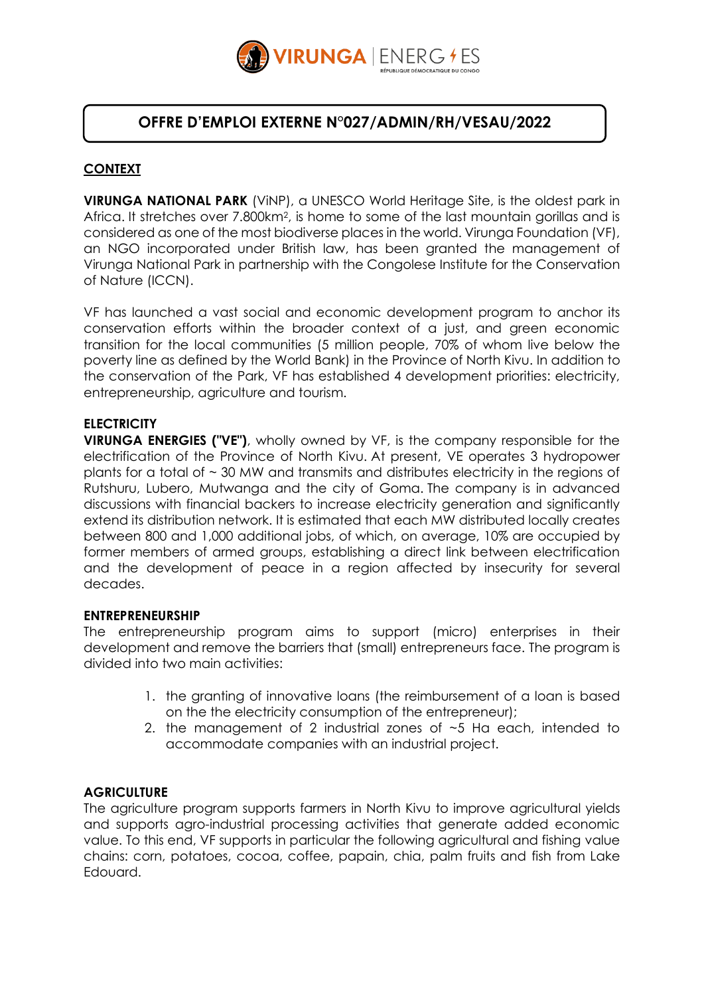

## **OFFRE D'EMPLOI EXTERNE N°027/ADMIN/RH/VESAU/2022**

## **CONTEXT**

**VIRUNGA NATIONAL PARK** (ViNP), a UNESCO World Heritage Site, is the oldest park in Africa. It stretches over 7.800km<sup>2</sup>, is home to some of the last mountain gorillas and is considered as one of the most biodiverse places in the world. Virunga Foundation (VF), an NGO incorporated under British law, has been granted the management of Virunga National Park in partnership with the Congolese Institute for the Conservation of Nature (ICCN).

VF has launched a vast social and economic development program to anchor its conservation efforts within the broader context of a just, and green economic transition for the local communities (5 million people, 70% of whom live below the poverty line as defined by the World Bank) in the Province of North Kivu. In addition to the conservation of the Park, VF has established 4 development priorities: electricity, entrepreneurship, agriculture and tourism.

#### **ELECTRICITY**

**VIRUNGA ENERGIES ("VE")**, wholly owned by VF, is the company responsible for the electrification of the Province of North Kivu. At present, VE operates 3 hydropower plants for a total of  $\sim$  30 MW and transmits and distributes electricity in the regions of Rutshuru, Lubero, Mutwanga and the city of Goma. The company is in advanced discussions with financial backers to increase electricity generation and significantly extend its distribution network. It is estimated that each MW distributed locally creates between 800 and 1,000 additional jobs, of which, on average, 10% are occupied by former members of armed groups, establishing a direct link between electrification and the development of peace in a region affected by insecurity for several decades.

#### **ENTREPRENEURSHIP**

The entrepreneurship program aims to support (micro) enterprises in their development and remove the barriers that (small) entrepreneurs face. The program is divided into two main activities:

- 1. the granting of innovative loans (the reimbursement of a loan is based on the the electricity consumption of the entrepreneur);
- 2. the management of 2 industrial zones of  $\sim$  5 Ha each, intended to accommodate companies with an industrial project.

#### **AGRICULTURE**

The agriculture program supports farmers in North Kivu to improve agricultural yields and supports agro-industrial processing activities that generate added economic value. To this end, VF supports in particular the following agricultural and fishing value chains: corn, potatoes, cocoa, coffee, papain, chia, palm fruits and fish from Lake Edouard.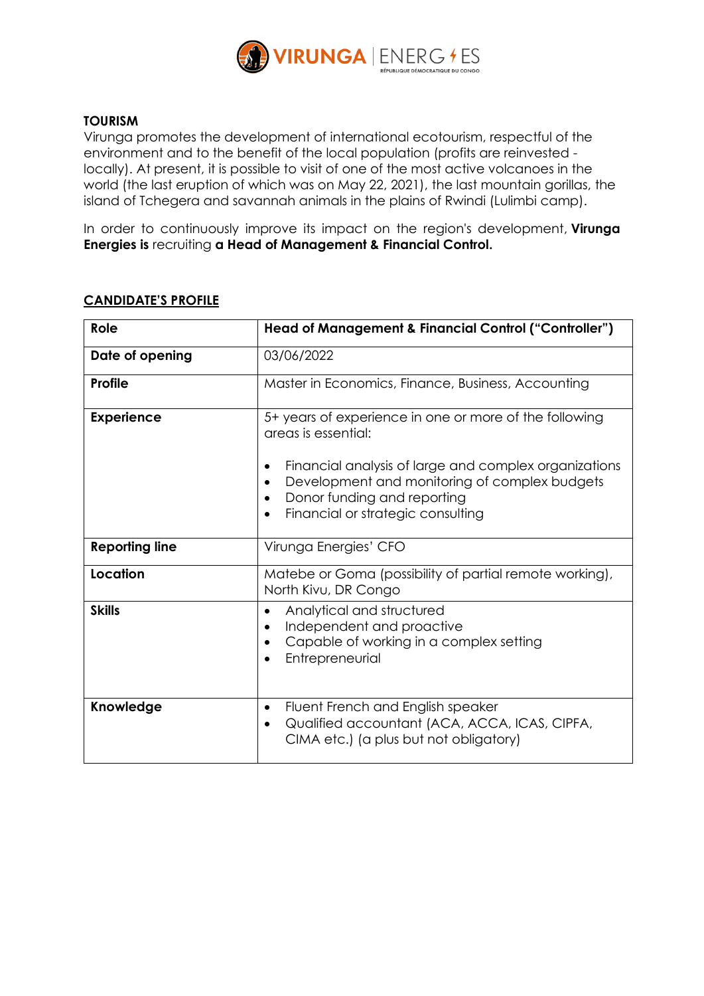

#### **TOURISM**

Virunga promotes the development of international ecotourism, respectful of the environment and to the benefit of the local population (profits are reinvested locally). At present, it is possible to visit of one of the most active volcanoes in the world (the last eruption of which was on May 22, 2021), the last mountain gorillas, the island of Tchegera and savannah animals in the plains of Rwindi (Lulimbi camp).

In order to continuously improve its impact on the region's development, **Virunga Energies is** recruiting **a Head of Management & Financial Control.**

# **Role Head of Management & Financial Control ("Controller") Date of opening** 03/06/2022 **Profile** Master in Economics, Finance, Business, Accounting **Experience**  $\begin{vmatrix} 5 + y = 5 \\ 5 \end{vmatrix}$  section one or more of the following areas is essential: • Financial analysis of large and complex organizations • Development and monitoring of complex budgets • Donor funding and reporting • Financial or strategic consulting **Reporting line** | Virunga Energies' CFO **Location** Matebe or Goma (possibility of partial remote working), North Kivu, DR Congo **Skills •** Analytical and structured • Independent and proactive • Capable of working in a complex setting • Entrepreneurial **Knowledge •** Fluent French and English speaker • Qualified accountant (ACA, ACCA, ICAS, CIPFA, CIMA etc.) (a plus but not obligatory)

## **CANDIDATE'S PROFILE**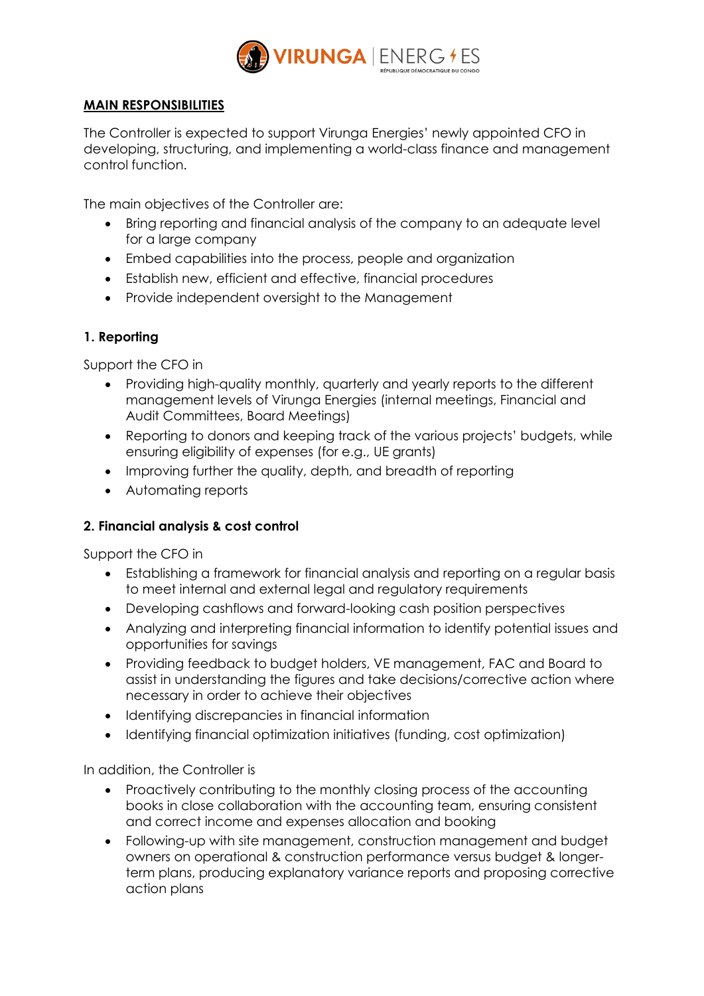

## **MAIN RESPONSIBILITIES**

The Controller is expected to support Virunga Energies' newly appointed CFO in developing, structuring, and implementing a world-class finance and management control function.

The main objectives of the Controller are:

- Bring reporting and financial analysis of the company to an adequate level for a large company
- Embed capabilities into the process, people and organization
- Establish new, efficient and effective, financial procedures
- Provide independent oversight to the Management

## **1. Reporting**

Support the CFO in

- Providing high-quality monthly, quarterly and yearly reports to the different management levels of Virunga Energies (internal meetings, Financial and Audit Committees, Board Meetings)
- Reporting to donors and keeping track of the various projects' budgets, while ensuring eligibility of expenses (for e.g., UE grants)
- Improving further the quality, depth, and breadth of reporting
- Automating reports

## **2. Financial analysis & cost control**

Support the CFO in

- Establishing a framework for financial analysis and reporting on a regular basis to meet internal and external legal and regulatory requirements
- Developing cashflows and forward-looking cash position perspectives
- Analyzing and interpreting financial information to identify potential issues and opportunities for savings
- Providing feedback to budget holders, VE management, FAC and Board to assist in understanding the figures and take decisions/corrective action where necessary in order to achieve their objectives
- Identifying discrepancies in financial information
- Identifying financial optimization initiatives (funding, cost optimization)

In addition, the Controller is

- Proactively contributing to the monthly closing process of the accounting books in close collaboration with the accounting team, ensuring consistent and correct income and expenses allocation and booking
- Following-up with site management, construction management and budget owners on operational & construction performance versus budget & longerterm plans, producing explanatory variance reports and proposing corrective action plans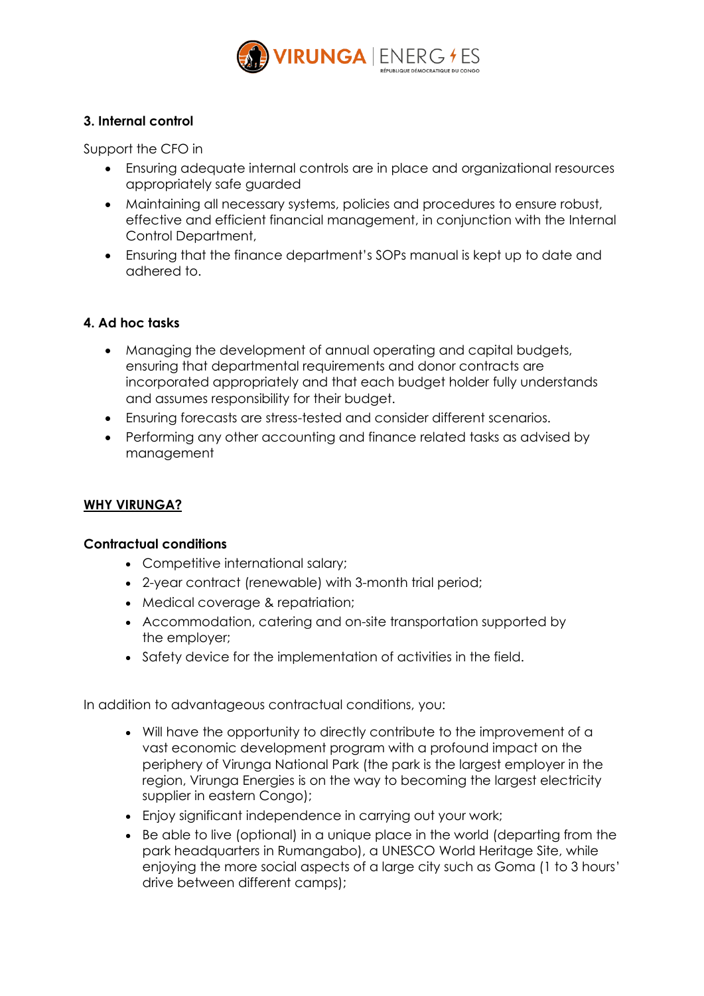

## **3. Internal control**

Support the CFO in

- Ensuring adequate internal controls are in place and organizational resources appropriately safe guarded
- Maintaining all necessary systems, policies and procedures to ensure robust, effective and efficient financial management, in conjunction with the Internal Control Department,
- Ensuring that the finance department's SOPs manual is kept up to date and adhered to.

## **4. Ad hoc tasks**

- Managing the development of annual operating and capital budgets, ensuring that departmental requirements and donor contracts are incorporated appropriately and that each budget holder fully understands and assumes responsibility for their budget.
- Ensuring forecasts are stress-tested and consider different scenarios.
- Performing any other accounting and finance related tasks as advised by management

#### **WHY VIRUNGA?**

#### **Contractual conditions**

- Competitive international salary;
- 2-year contract (renewable) with 3-month trial period;
- Medical coverage & repatriation;
- Accommodation, catering and on-site transportation supported by the employer;
- Safety device for the implementation of activities in the field.

In addition to advantageous contractual conditions, you:

- Will have the opportunity to directly contribute to the improvement of a vast economic development program with a profound impact on the periphery of Virunga National Park (the park is the largest employer in the region, Virunga Energies is on the way to becoming the largest electricity supplier in eastern Congo);
- Enjoy significant independence in carrying out your work;
- Be able to live (optional) in a unique place in the world (departing from the park headquarters in Rumangabo), a UNESCO World Heritage Site, while enjoying the more social aspects of a large city such as Goma (1 to 3 hours' drive between different camps);